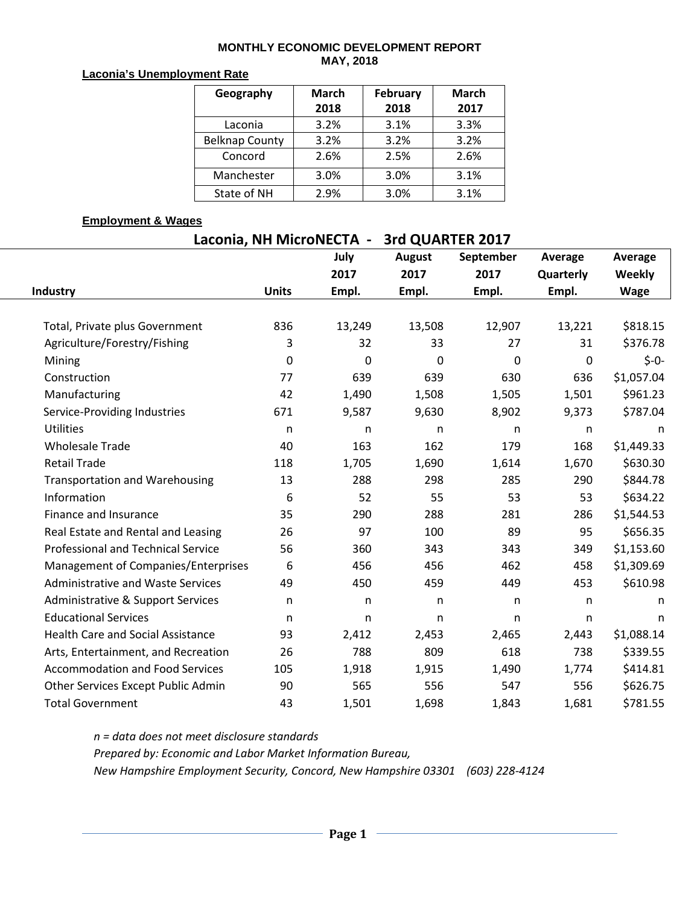### **MONTHLY ECONOMIC DEVELOPMENT REPORT MAY, 2018**

### **Laconia's Unemployment Rate**

| Geography             | <b>March</b> | February | <b>March</b> |  |  |
|-----------------------|--------------|----------|--------------|--|--|
|                       | 2018         | 2018     | 2017         |  |  |
| Laconia               | 3.2%         | 3.1%     | 3.3%         |  |  |
| <b>Belknap County</b> | 3.2%         | 3.2%     | 3.2%         |  |  |
| Concord               | 2.6%         | 2.5%     | 2.6%         |  |  |
| Manchester            | 3.0%         | 3.0%     | 3.1%         |  |  |
| State of NH           | 2.9%         | 3.0%     | 3.1%         |  |  |

## **Employment & Wages**

| Laconia, NH MicroNECTA -<br>3rd QUARTER 2017 |              |              |               |              |              |               |  |  |  |  |  |
|----------------------------------------------|--------------|--------------|---------------|--------------|--------------|---------------|--|--|--|--|--|
|                                              |              | July         | <b>August</b> | September    | Average      | Average       |  |  |  |  |  |
|                                              |              | 2017         | 2017          | 2017         | Quarterly    | <b>Weekly</b> |  |  |  |  |  |
| <b>Industry</b>                              | <b>Units</b> | Empl.        | Empl.         | Empl.        | Empl.        | <b>Wage</b>   |  |  |  |  |  |
|                                              |              |              |               |              |              |               |  |  |  |  |  |
| Total, Private plus Government               | 836          | 13,249       | 13,508        | 12,907       | 13,221       | \$818.15      |  |  |  |  |  |
| Agriculture/Forestry/Fishing                 | 3            | 32           | 33            | 27           | 31           | \$376.78      |  |  |  |  |  |
| Mining                                       | $\mathbf 0$  | $\mathbf 0$  | $\Omega$      | $\mathbf 0$  | 0            | $$-0-$        |  |  |  |  |  |
| Construction                                 | 77           | 639          | 639           | 630          | 636          | \$1,057.04    |  |  |  |  |  |
| Manufacturing                                | 42           | 1,490        | 1,508         | 1,505        | 1,501        | \$961.23      |  |  |  |  |  |
| Service-Providing Industries                 | 671          | 9,587        | 9,630         | 8,902        | 9,373        | \$787.04      |  |  |  |  |  |
| <b>Utilities</b>                             | $\mathsf{n}$ | n            | $\mathsf{n}$  | $\mathsf{n}$ | n            | n             |  |  |  |  |  |
| <b>Wholesale Trade</b>                       | 40           | 163          | 162           | 179          | 168          | \$1,449.33    |  |  |  |  |  |
| <b>Retail Trade</b>                          | 118          | 1,705        | 1,690         | 1,614        | 1,670        | \$630.30      |  |  |  |  |  |
| <b>Transportation and Warehousing</b>        | 13           | 288          | 298           | 285          | 290          | \$844.78      |  |  |  |  |  |
| Information                                  | 6            | 52           | 55            | 53           | 53           | \$634.22      |  |  |  |  |  |
| Finance and Insurance                        | 35           | 290          | 288           | 281          | 286          | \$1,544.53    |  |  |  |  |  |
| Real Estate and Rental and Leasing           | 26           | 97           | 100           | 89           | 95           | \$656.35      |  |  |  |  |  |
| <b>Professional and Technical Service</b>    | 56           | 360          | 343           | 343          | 349          | \$1,153.60    |  |  |  |  |  |
| Management of Companies/Enterprises          | 6            | 456          | 456           | 462          | 458          | \$1,309.69    |  |  |  |  |  |
| <b>Administrative and Waste Services</b>     | 49           | 450          | 459           | 449          | 453          | \$610.98      |  |  |  |  |  |
| Administrative & Support Services            | n            | $\mathsf{n}$ | n             | $\mathsf{n}$ | n            | n             |  |  |  |  |  |
| <b>Educational Services</b>                  | $\mathsf{n}$ | $\mathsf{n}$ | $\mathsf{n}$  | $\mathsf{n}$ | $\mathsf{n}$ | n             |  |  |  |  |  |
| <b>Health Care and Social Assistance</b>     | 93           | 2,412        | 2,453         | 2,465        | 2,443        | \$1,088.14    |  |  |  |  |  |
| Arts, Entertainment, and Recreation          | 26           | 788          | 809           | 618          | 738          | \$339.55      |  |  |  |  |  |
| <b>Accommodation and Food Services</b>       | 105          | 1,918        | 1,915         | 1,490        | 1,774        | \$414.81      |  |  |  |  |  |
| Other Services Except Public Admin           | 90           | 565          | 556           | 547          | 556          | \$626.75      |  |  |  |  |  |
| <b>Total Government</b>                      | 43           | 1,501        | 1,698         | 1,843        | 1,681        | \$781.55      |  |  |  |  |  |

*n = data does not meet disclosure standards Prepared by: Economic and Labor Market Information Bureau, New Hampshire Employment Security, Concord, New Hampshire 03301 (603) 228-4124*